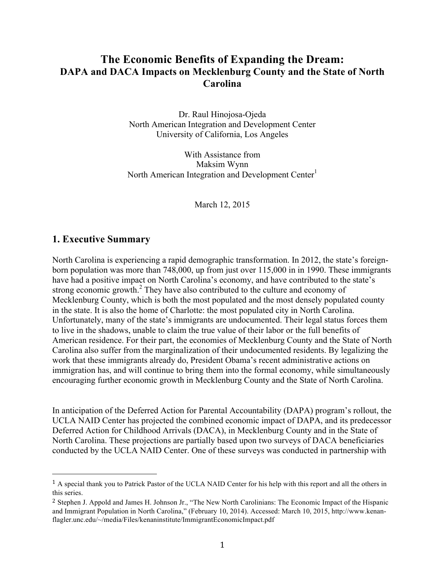# **The Economic Benefits of Expanding the Dream: DAPA and DACA Impacts on Mecklenburg County and the State of North Carolina**

Dr. Raul Hinojosa-Ojeda North American Integration and Development Center University of California, Los Angeles

With Assistance from Maksim Wynn North American Integration and Development Center $<sup>1</sup>$ </sup>

March 12, 2015

#### **1. Executive Summary**

 

North Carolina is experiencing a rapid demographic transformation. In 2012, the state's foreignborn population was more than 748,000, up from just over 115,000 in in 1990. These immigrants have had a positive impact on North Carolina's economy, and have contributed to the state's strong economic growth.<sup>2</sup> They have also contributed to the culture and economy of Mecklenburg County, which is both the most populated and the most densely populated county in the state. It is also the home of Charlotte: the most populated city in North Carolina. Unfortunately, many of the state's immigrants are undocumented. Their legal status forces them to live in the shadows, unable to claim the true value of their labor or the full benefits of American residence. For their part, the economies of Mecklenburg County and the State of North Carolina also suffer from the marginalization of their undocumented residents. By legalizing the work that these immigrants already do, President Obama's recent administrative actions on immigration has, and will continue to bring them into the formal economy, while simultaneously encouraging further economic growth in Mecklenburg County and the State of North Carolina.

In anticipation of the Deferred Action for Parental Accountability (DAPA) program's rollout, the UCLA NAID Center has projected the combined economic impact of DAPA, and its predecessor Deferred Action for Childhood Arrivals (DACA), in Mecklenburg County and in the State of North Carolina. These projections are partially based upon two surveys of DACA beneficiaries conducted by the UCLA NAID Center. One of these surveys was conducted in partnership with

<sup>1</sup> A special thank you to Patrick Pastor of the UCLA NAID Center for his help with this report and all the others in this series.

<sup>&</sup>lt;sup>2</sup> Stephen J. Appold and James H. Johnson Jr., "The New North Carolinians: The Economic Impact of the Hispanic and Immigrant Population in North Carolina," (February 10, 2014). Accessed: March 10, 2015, http://www.kenanflagler.unc.edu/~/media/Files/kenaninstitute/ImmigrantEconomicImpact.pdf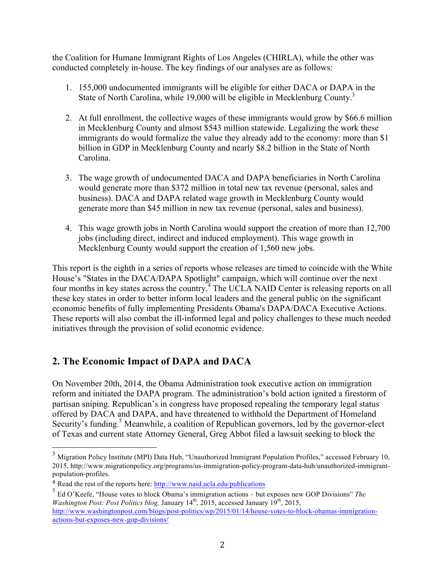the Coalition for Humane Immigrant Rights of Los Angeles (CHIRLA), while the other was conducted completely in-house. The key findings of our analyses are as follows:

- 1. 155,000 undocumented immigrants will be eligible for either DACA or DAPA in the State of North Carolina, while 19,000 will be eligible in Mecklenburg County.<sup>3</sup>
- 2. At full enrollment, the collective wages of these immigrants would grow by \$66.6 million in Mecklenburg County and almost \$543 million statewide. Legalizing the work these immigrants do would formalize the value they already add to the economy: more than \$1 billion in GDP in Mecklenburg County and nearly \$8.2 billion in the State of North Carolina.
- 3. The wage growth of undocumented DACA and DAPA beneficiaries in North Carolina would generate more than \$372 million in total new tax revenue (personal, sales and business). DACA and DAPA related wage growth in Mecklenburg County would generate more than \$45 million in new tax revenue (personal, sales and business).
- 4. This wage growth jobs in North Carolina would support the creation of more than 12,700 jobs (including direct, indirect and induced employment). This wage growth in Mecklenburg County would support the creation of 1,560 new jobs.

This report is the eighth in a series of reports whose releases are timed to coincide with the White House's "States in the DACA/DAPA Spotlight" campaign, which will continue over the next four months in key states across the country.<sup>4</sup> The UCLA NAID Center is releasing reports on all these key states in order to better inform local leaders and the general public on the significant economic benefits of fully implementing Presidents Obama's DAPA/DACA Executive Actions. These reports will also combat the ill-informed legal and policy challenges to these much needed initiatives through the provision of solid economic evidence.

## **2. The Economic Impact of DAPA and DACA**

On November 20th, 2014, the Obama Administration took executive action on immigration reform and initiated the DAPA program. The administration's bold action ignited a firestorm of partisan sniping. Republican's in congress have proposed repealing the temporary legal status offered by DACA and DAPA, and have threatened to withhold the Department of Homeland Security's funding.<sup>5</sup> Meanwhile, a coalition of Republican governors, led by the governor-elect of Texas and current state Attorney General, Greg Abbot filed a lawsuit seeking to block the

<sup>&</sup>lt;sup>3</sup> Migration Policy Institute (MPI) Data Hub, "Unauthorized Immigrant Population Profiles," accessed February 10, 2015, http://www.migrationpolicy.org/programs/us-immigration-policy-program-data-hub/unauthorized-immigrantpopulation-profiles.

<sup>4</sup> Read the rest of the reports here: http://www.naid.ucla.edu/publications

<sup>5</sup> Ed O'Keefe, "House votes to block Obama's immigration actions – but exposes new GOP Divisions" *The Washington Post: Post Politics blog, January 14<sup>th</sup>, 2015, accessed January 19<sup>th</sup>, 2015,* http://www.washingtonpost.com/blogs/post-politics/wp/2015/01/14/house-votes-to-block-obamas-immigrationactions-but-exposes-new-gop-divisions/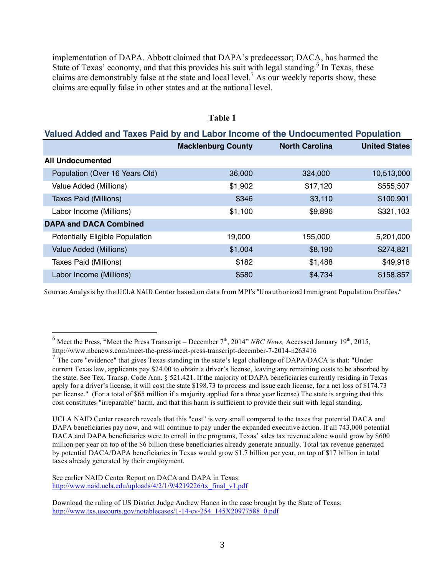implementation of DAPA. Abbott claimed that DAPA's predecessor; DACA, has harmed the State of Texas' economy, and that this provides his suit with legal standing.<sup>6</sup> In Texas, these claims are demonstrably false at the state and local level.<sup>7</sup> As our weekly reports show, these claims are equally false in other states and at the national level.

| Valued Added and Taxes Paid by and Labor Income of the Undocumented Population |                           |                       |                      |
|--------------------------------------------------------------------------------|---------------------------|-----------------------|----------------------|
|                                                                                | <b>Macklenburg County</b> | <b>North Carolina</b> | <b>United States</b> |
| <b>All Undocumented</b>                                                        |                           |                       |                      |
| Population (Over 16 Years Old)                                                 | 36,000                    | 324,000               | 10,513,000           |
| Value Added (Millions)                                                         | \$1,902                   | \$17,120              | \$555,507            |
| <b>Taxes Paid (Millions)</b>                                                   | \$346                     | \$3,110               | \$100,901            |
| Labor Income (Millions)                                                        | \$1,100                   | \$9,896               | \$321,103            |
| <b>DAPA and DACA Combined</b>                                                  |                           |                       |                      |
| <b>Potentially Eligible Population</b>                                         | 19,000                    | 155,000               | 5,201,000            |
| Value Added (Millions)                                                         | \$1,004                   | \$8,190               | \$274,821            |
| Taxes Paid (Millions)                                                          | \$182                     | \$1,488               | \$49,918             |
| Labor Income (Millions)                                                        | \$580                     | \$4,734               | \$158,857            |

#### **Table 1**

Source: Analysis by the UCLA NAID Center based on data from MPI's "Unauthorized Immigrant Population Profiles."

See earlier NAID Center Report on DACA and DAPA in Texas: http://www.naid.ucla.edu/uploads/4/2/1/9/4219226/tx\_final\_v1.pdf

 $^6$  Meet the Press, "Meet the Press Transcript – December  $7^{\text{th}}$ , 2014" *NBC News*, Accessed January 19<sup>th</sup>, 2015, http://www.nbcnews.com/meet-the-press/meet-press-transcript-december-7-2014-n263416

 $<sup>7</sup>$  The core "evidence" that gives Texas standing in the state's legal challenge of DAPA/DACA is that: "Under</sup> current Texas law, applicants pay \$24.00 to obtain a driver's license, leaving any remaining costs to be absorbed by the state. See Tex. Transp. Code Ann. § 521.421. If the majority of DAPA beneficiaries currently residing in Texas apply for a driver's license, it will cost the state \$198.73 to process and issue each license, for a net loss of \$174.73 per license." (For a total of \$65 million if a majority applied for a three year license) The state is arguing that this cost constitutes "irreparable" harm, and that this harm is sufficient to provide their suit with legal standing.

UCLA NAID Center research reveals that this "cost" is very small compared to the taxes that potential DACA and DAPA beneficiaries pay now, and will continue to pay under the expanded executive action. If all 743,000 potential DACA and DAPA beneficiaries were to enroll in the programs, Texas' sales tax revenue alone would grow by \$600 million per year on top of the \$6 billion these beneficiaries already generate annually. Total tax revenue generated by potential DACA/DAPA beneficiaries in Texas would grow \$1.7 billion per year, on top of \$17 billion in total taxes already generated by their employment.

Download the ruling of US District Judge Andrew Hanen in the case brought by the State of Texas: http://www.txs.uscourts.gov/notablecases/1-14-cv-254\_145X20977588\_0.pdf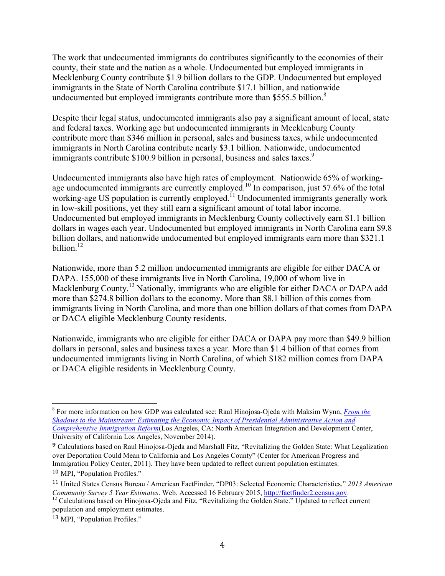The work that undocumented immigrants do contributes significantly to the economies of their county, their state and the nation as a whole. Undocumented but employed immigrants in Mecklenburg County contribute \$1.9 billion dollars to the GDP. Undocumented but employed immigrants in the State of North Carolina contribute \$17.1 billion, and nationwide undocumented but employed immigrants contribute more than \$555.5 billion.<sup>8</sup>

Despite their legal status, undocumented immigrants also pay a significant amount of local, state and federal taxes. Working age but undocumented immigrants in Mecklenburg County contribute more than \$346 million in personal, sales and business taxes, while undocumented immigrants in North Carolina contribute nearly \$3.1 billion. Nationwide, undocumented immigrants contribute \$100.9 billion in personal, business and sales taxes.<sup>9</sup>

Undocumented immigrants also have high rates of employment. Nationwide 65% of workingage undocumented immigrants are currently employed.<sup>10</sup> In comparison, just 57.6% of the total working-age US population is currently employed.<sup> $11$ </sup> Undocumented immigrants generally work in low-skill positions, yet they still earn a significant amount of total labor income. Undocumented but employed immigrants in Mecklenburg County collectively earn \$1.1 billion dollars in wages each year. Undocumented but employed immigrants in North Carolina earn \$9.8 billion dollars, and nationwide undocumented but employed immigrants earn more than \$321.1 billion $12$ 

Nationwide, more than 5.2 million undocumented immigrants are eligible for either DACA or DAPA. 155,000 of these immigrants live in North Carolina, 19,000 of whom live in Macklenburg County.<sup>13</sup> Nationally, immigrants who are eligible for either DACA or DAPA add more than \$274.8 billion dollars to the economy. More than \$8.1 billion of this comes from immigrants living in North Carolina, and more than one billion dollars of that comes from DAPA or DACA eligible Mecklenburg County residents.

Nationwide, immigrants who are eligible for either DACA or DAPA pay more than \$49.9 billion dollars in personal, sales and business taxes a year. More than \$1.4 billion of that comes from undocumented immigrants living in North Carolina, of which \$182 million comes from DAPA or DACA eligible residents in Mecklenburg County.

 <sup>8</sup> For more information on how GDP was calculated see: Raul Hinojosa-Ojeda with Maksim Wynn, *From the Shadows to the Mainstream: Estimating the Economic Impact of Presidential Administrative Action and Comprehensive Immigration Reform*(Los Angeles, CA: North American Integration and Development Center, University of California Los Angeles, November 2014).

**<sup>9</sup>** Calculations based on Raul Hinojosa-Ojeda and Marshall Fitz, "Revitalizing the Golden State: What Legalization over Deportation Could Mean to California and Los Angeles County" (Center for American Progress and Immigration Policy Center, 2011). They have been updated to reflect current population estimates.

<sup>10</sup> MPI, "Population Profiles."

<sup>11</sup> United States Census Bureau / American FactFinder, "DP03: Selected Economic Characteristics." *2013 American Community Survey 5 Year Estimates*. Web. Accessed 16 February 2015, http://factfinder2.census.gov.<br><sup>12</sup> Calculations based on Hinojosa-Ojeda and Fitz, "Revitalizing the Golden State." Updated to reflect current

population and employment estimates.

<sup>13</sup> MPI, "Population Profiles."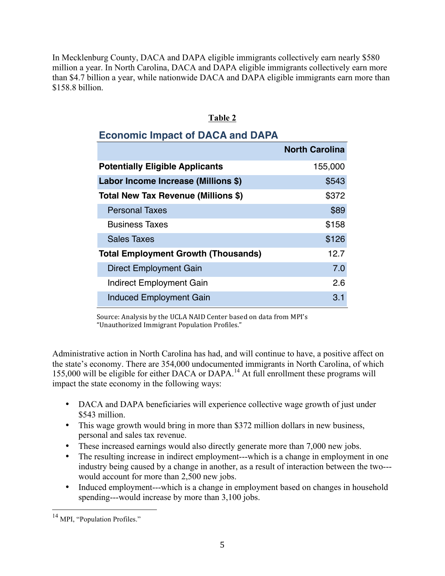In Mecklenburg County, DACA and DAPA eligible immigrants collectively earn nearly \$580 million a year. In North Carolina, DACA and DAPA eligible immigrants collectively earn more than \$4.7 billion a year, while nationwide DACA and DAPA eligible immigrants earn more than \$158.8 billion.

| Н<br>11<br>н<br>н |  |
|-------------------|--|
|                   |  |

# **Economic Impact of DACA and DAPA**

|                                            | <b>North Carolina</b> |
|--------------------------------------------|-----------------------|
| <b>Potentially Eligible Applicants</b>     | 155,000               |
| Labor Income Increase (Millions \$)        | \$543                 |
| Total New Tax Revenue (Millions \$)        | \$372                 |
| <b>Personal Taxes</b>                      | \$89                  |
| <b>Business Taxes</b>                      | \$158                 |
| <b>Sales Taxes</b>                         | \$126                 |
| <b>Total Employment Growth (Thousands)</b> | 12 7                  |
| <b>Direct Employment Gain</b>              | 7.0                   |
| <b>Indirect Employment Gain</b>            | 2.6                   |
| <b>Induced Employment Gain</b>             | 3.1                   |

Source: Analysis by the UCLA NAID Center based on data from MPI's "Unauthorized Immigrant Population Profiles."

Administrative action in North Carolina has had, and will continue to have, a positive affect on the state's economy. There are 354,000 undocumented immigrants in North Carolina, of which 155,000 will be eligible for either DACA or DAPA.<sup>14</sup> At full enrollment these programs will impact the state economy in the following ways:

- DACA and DAPA beneficiaries will experience collective wage growth of just under \$543 million.
- This wage growth would bring in more than \$372 million dollars in new business, personal and sales tax revenue.
- These increased earnings would also directly generate more than 7,000 new jobs.
- The resulting increase in indirect employment---which is a change in employment in one industry being caused by a change in another, as a result of interaction between the two-- would account for more than 2,500 new jobs.
- Induced employment---which is a change in employment based on changes in household spending---would increase by more than 3,100 jobs.

<sup>&</sup>lt;sup>14</sup> MPI. "Population Profiles."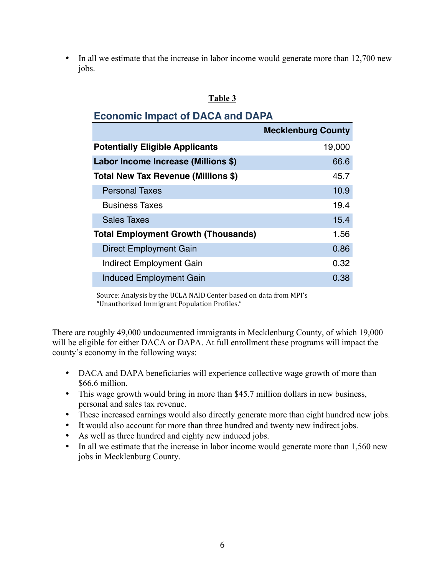• In all we estimate that the increase in labor income would generate more than 12,700 new jobs.

#### **Table 3**

### **Economic Impact of DACA and DAPA**

|                                            | <b>Mecklenburg County</b> |
|--------------------------------------------|---------------------------|
| <b>Potentially Eligible Applicants</b>     | 19,000                    |
| Labor Income Increase (Millions \$)        | 66.6                      |
| Total New Tax Revenue (Millions \$)        | 45.7                      |
| <b>Personal Taxes</b>                      | 10.9                      |
| <b>Business Taxes</b>                      | 19.4                      |
| <b>Sales Taxes</b>                         | 15.4                      |
| <b>Total Employment Growth (Thousands)</b> | 1.56                      |
| <b>Direct Employment Gain</b>              | 0.86                      |
| Indirect Employment Gain                   | 0.32                      |
| <b>Induced Employment Gain</b>             | 0.38                      |

Source: Analysis by the UCLA NAID Center based on data from MPI's "Unauthorized Immigrant Population Profiles."

There are roughly 49,000 undocumented immigrants in Mecklenburg County, of which 19,000 will be eligible for either DACA or DAPA. At full enrollment these programs will impact the county's economy in the following ways:

- DACA and DAPA beneficiaries will experience collective wage growth of more than \$66.6 million.
- This wage growth would bring in more than \$45.7 million dollars in new business, personal and sales tax revenue.
- These increased earnings would also directly generate more than eight hundred new jobs.
- It would also account for more than three hundred and twenty new indirect jobs.
- As well as three hundred and eighty new induced jobs.
- In all we estimate that the increase in labor income would generate more than 1,560 new jobs in Mecklenburg County.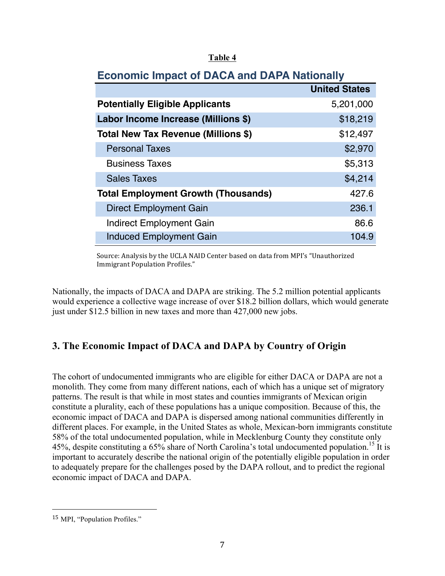#### **Table 4**

| лгэншэ шир<br>$\frac{1}{2}$                |                      |  |
|--------------------------------------------|----------------------|--|
|                                            | <b>United States</b> |  |
| <b>Potentially Eligible Applicants</b>     | 5,201,000            |  |
| Labor Income Increase (Millions \$)        | \$18,219             |  |
| Total New Tax Revenue (Millions \$)        | \$12,497             |  |
| <b>Personal Taxes</b>                      | \$2,970              |  |
| <b>Business Taxes</b>                      | \$5,313              |  |
| <b>Sales Taxes</b>                         | \$4,214              |  |
| <b>Total Employment Growth (Thousands)</b> | 427.6                |  |
| Direct Employment Gain                     | 236.1                |  |
| <b>Indirect Employment Gain</b>            | 86.6                 |  |
| <b>Induced Employment Gain</b>             | 104.9                |  |

### **Economic Impact of DACA and DAPA Nationally**

Source: Analysis by the UCLA NAID Center based on data from MPI's "Unauthorized Immigrant Population Profiles."

Nationally, the impacts of DACA and DAPA are striking. The 5.2 million potential applicants would experience a collective wage increase of over \$18.2 billion dollars, which would generate just under \$12.5 billion in new taxes and more than 427,000 new jobs.

## **3. The Economic Impact of DACA and DAPA by Country of Origin**

The cohort of undocumented immigrants who are eligible for either DACA or DAPA are not a monolith. They come from many different nations, each of which has a unique set of migratory patterns. The result is that while in most states and counties immigrants of Mexican origin constitute a plurality, each of these populations has a unique composition. Because of this, the economic impact of DACA and DAPA is dispersed among national communities differently in different places. For example, in the United States as whole, Mexican-born immigrants constitute 58% of the total undocumented population, while in Mecklenburg County they constitute only 45%, despite constituting a 65% share of North Carolina's total undocumented population.<sup>15</sup> It is important to accurately describe the national origin of the potentially eligible population in order to adequately prepare for the challenges posed by the DAPA rollout, and to predict the regional economic impact of DACA and DAPA.

 

<sup>15</sup> MPI, "Population Profiles."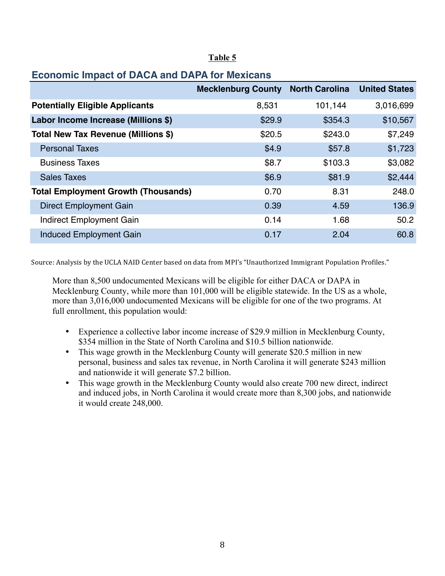|                                            | <b>Mecklenburg County</b> | <b>North Carolina</b> | <b>United States</b> |
|--------------------------------------------|---------------------------|-----------------------|----------------------|
| <b>Potentially Eligible Applicants</b>     | 8,531                     | 101,144               | 3,016,699            |
| Labor Income Increase (Millions \$)        | \$29.9                    | \$354.3               | \$10,567             |
| Total New Tax Revenue (Millions \$)        | \$20.5                    | \$243.0               | \$7,249              |
| <b>Personal Taxes</b>                      | \$4.9                     | \$57.8                | \$1,723              |
| <b>Business Taxes</b>                      | \$8.7                     | \$103.3               | \$3,082              |
| <b>Sales Taxes</b>                         | \$6.9                     | \$81.9                | \$2,444              |
| <b>Total Employment Growth (Thousands)</b> | 0.70                      | 8.31                  | 248.0                |
| <b>Direct Employment Gain</b>              | 0.39                      | 4.59                  | 136.9                |
| Indirect Employment Gain                   | 0.14                      | 1.68                  | 50.2                 |
| <b>Induced Employment Gain</b>             | 0.17                      | 2.04                  | 60.8                 |

#### **Table 5**

## **Economic Impact of DACA and DAPA for Mexicans**

Source: Analysis by the UCLA NAID Center based on data from MPI's "Unauthorized Immigrant Population Profiles."

More than 8,500 undocumented Mexicans will be eligible for either DACA or DAPA in Mecklenburg County, while more than 101,000 will be eligible statewide. In the US as a whole, more than 3,016,000 undocumented Mexicans will be eligible for one of the two programs. At full enrollment, this population would:

- Experience a collective labor income increase of \$29.9 million in Mecklenburg County, \$354 million in the State of North Carolina and \$10.5 billion nationwide.
- This wage growth in the Mecklenburg County will generate \$20.5 million in new personal, business and sales tax revenue, in North Carolina it will generate \$243 million and nationwide it will generate \$7.2 billion.
- This wage growth in the Mecklenburg County would also create 700 new direct, indirect and induced jobs, in North Carolina it would create more than 8,300 jobs, and nationwide it would create 248,000.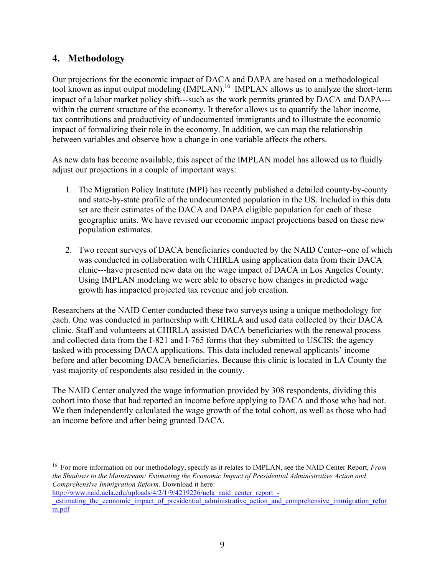### **4. Methodology**

Our projections for the economic impact of DACA and DAPA are based on a methodological tool known as input output modeling (IMPLAN).16 IMPLAN allows us to analyze the short-term impact of a labor market policy shift---such as the work permits granted by DACA and DAPA-- within the current structure of the economy. It therefor allows us to quantify the labor income, tax contributions and productivity of undocumented immigrants and to illustrate the economic impact of formalizing their role in the economy. In addition, we can map the relationship between variables and observe how a change in one variable affects the others.

As new data has become available, this aspect of the IMPLAN model has allowed us to fluidly adjust our projections in a couple of important ways:

- 1. The Migration Policy Institute (MPI) has recently published a detailed county-by-county and state-by-state profile of the undocumented population in the US. Included in this data set are their estimates of the DACA and DAPA eligible population for each of these geographic units. We have revised our economic impact projections based on these new population estimates.
- 2. Two recent surveys of DACA beneficiaries conducted by the NAID Center--one of which was conducted in collaboration with CHIRLA using application data from their DACA clinic---have presented new data on the wage impact of DACA in Los Angeles County. Using IMPLAN modeling we were able to observe how changes in predicted wage growth has impacted projected tax revenue and job creation.

Researchers at the NAID Center conducted these two surveys using a unique methodology for each. One was conducted in partnership with CHIRLA and used data collected by their DACA clinic. Staff and volunteers at CHIRLA assisted DACA beneficiaries with the renewal process and collected data from the I-821 and I-765 forms that they submitted to USCIS; the agency tasked with processing DACA applications. This data included renewal applicants' income before and after becoming DACA beneficiaries. Because this clinic is located in LA County the vast majority of respondents also resided in the county.

The NAID Center analyzed the wage information provided by 308 respondents, dividing this cohort into those that had reported an income before applying to DACA and those who had not. We then independently calculated the wage growth of the total cohort, as well as those who had an income before and after being granted DACA.

 <sup>16</sup> For more information on our methodology, specify as it relates to IMPLAN, see the NAID Center Report, *From the Shadows to the Mainstream: Estimating the Economic Impact of Presidential Administrative Action and Comprehensive Immigration Reform.* Download it here:

http://www.naid.ucla.edu/uploads/4/2/1/9/4219226/ucla\_naid\_center\_report\_estimating the economic impact of presidential administrative action and comprehensive immigration refor m.pdf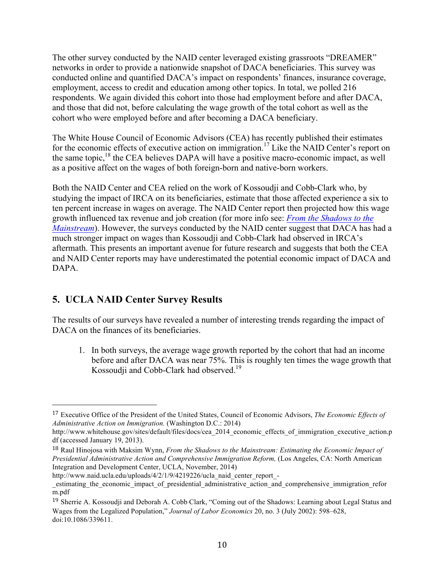The other survey conducted by the NAID center leveraged existing grassroots "DREAMER" networks in order to provide a nationwide snapshot of DACA beneficiaries. This survey was conducted online and quantified DACA's impact on respondents' finances, insurance coverage, employment, access to credit and education among other topics. In total, we polled 216 respondents. We again divided this cohort into those had employment before and after DACA, and those that did not, before calculating the wage growth of the total cohort as well as the cohort who were employed before and after becoming a DACA beneficiary.

The White House Council of Economic Advisors (CEA) has recently published their estimates for the economic effects of executive action on immigration.<sup>17</sup> Like the NAID Center's report on the same topic, $^{18}$  the CEA believes DAPA will have a positive macro-economic impact, as well as a positive affect on the wages of both foreign-born and native-born workers.

Both the NAID Center and CEA relied on the work of Kossoudji and Cobb-Clark who, by studying the impact of IRCA on its beneficiaries, estimate that those affected experience a six to ten percent increase in wages on average. The NAID Center report then projected how this wage growth influenced tax revenue and job creation (for more info see: *From the Shadows to the Mainstream*). However, the surveys conducted by the NAID center suggest that DACA has had a much stronger impact on wages than Kossoudji and Cobb-Clark had observed in IRCA's aftermath. This presents an important avenue for future research and suggests that both the CEA and NAID Center reports may have underestimated the potential economic impact of DACA and DAPA.

## **5. UCLA NAID Center Survey Results**

 

The results of our surveys have revealed a number of interesting trends regarding the impact of DACA on the finances of its beneficiaries.

1. In both surveys, the average wage growth reported by the cohort that had an income before and after DACA was near 75%. This is roughly ten times the wage growth that Kossoudji and Cobb-Clark had observed.<sup>19</sup>

<sup>17</sup> Executive Office of the President of the United States, Council of Economic Advisors, *The Economic Effects of Administrative Action on Immigration.* (Washington D.C.: 2014)

http://www.whitehouse.gov/sites/default/files/docs/cea\_2014\_economic\_effects\_of\_immigration\_executive\_action.p df (accessed January 19, 2013).

<sup>18</sup> Raul Hinojosa with Maksim Wynn, *From the Shadows to the Mainstream: Estimating the Economic Impact of Presidential Administrative Action and Comprehensive Immigration Reform,* (Los Angeles, CA: North American Integration and Development Center, UCLA, November, 2014)

http://www.naid.ucla.edu/uploads/4/2/1/9/4219226/ucla\_naid\_center\_report\_-

\_estimating\_the\_economic\_impact\_of\_presidential\_administrative\_action\_and\_comprehensive\_immigration\_refor m.pdf

<sup>19</sup> Sherrie A. Kossoudji and Deborah A. Cobb*‐*Clark, "Coming out of the Shadows: Learning about Legal Status and Wages from the Legalized Population," *Journal of Labor Economics* 20, no. 3 (July 2002): 598–628, doi:10.1086/339611.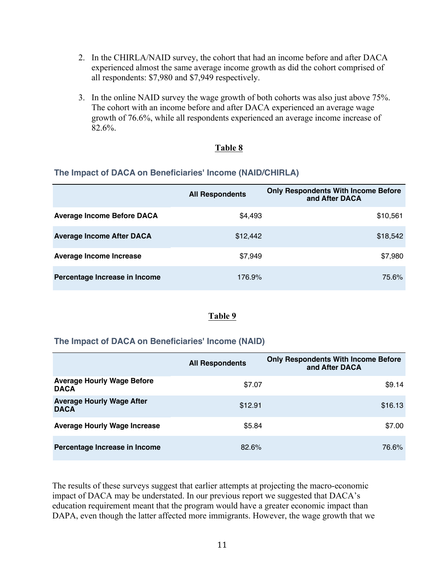- 2. In the CHIRLA/NAID survey, the cohort that had an income before and after DACA experienced almost the same average income growth as did the cohort comprised of all respondents: \$7,980 and \$7,949 respectively.
- 3. In the online NAID survey the wage growth of both cohorts was also just above 75%. The cohort with an income before and after DACA experienced an average wage growth of 76.6%, while all respondents experienced an average income increase of 82.6%.

#### **Table 8**

#### **The Impact of DACA on Beneficiaries' Income (NAID/CHIRLA)**

|                                   | <b>All Respondents</b> | <b>Only Respondents With Income Before</b><br>and After DACA |
|-----------------------------------|------------------------|--------------------------------------------------------------|
| <b>Average Income Before DACA</b> | \$4,493                | \$10,561                                                     |
| <b>Average Income After DACA</b>  | \$12,442               | \$18,542                                                     |
| <b>Average Income Increase</b>    | \$7,949                | \$7,980                                                      |
| Percentage Increase in Income     | 176.9%                 | 75.6%                                                        |

#### **Table 9**

#### **The Impact of DACA on Beneficiaries' Income (NAID)**

|                                                  | <b>All Respondents</b> | <b>Only Respondents With Income Before</b><br>and After DACA |
|--------------------------------------------------|------------------------|--------------------------------------------------------------|
| <b>Average Hourly Wage Before</b><br><b>DACA</b> | \$7.07                 | \$9.14                                                       |
| <b>Average Hourly Wage After</b><br><b>DACA</b>  | \$12.91                | \$16.13                                                      |
| <b>Average Hourly Wage Increase</b>              | \$5.84                 | \$7.00                                                       |
| Percentage Increase in Income                    | 82.6%                  | 76.6%                                                        |

The results of these surveys suggest that earlier attempts at projecting the macro-economic impact of DACA may be understated. In our previous report we suggested that DACA's education requirement meant that the program would have a greater economic impact than DAPA, even though the latter affected more immigrants. However, the wage growth that we